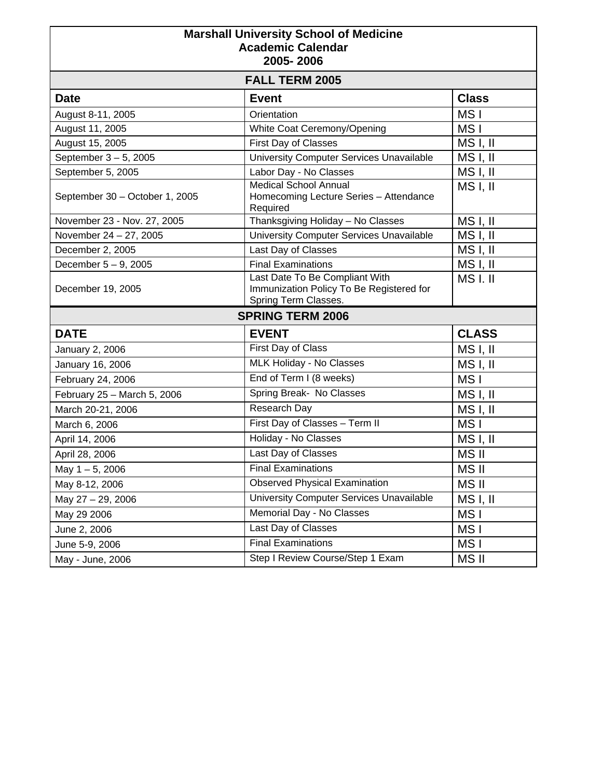| <b>Marshall University School of Medicine</b><br><b>Academic Calendar</b><br>2005-2006 |                                                                                                    |                 |  |
|----------------------------------------------------------------------------------------|----------------------------------------------------------------------------------------------------|-----------------|--|
| <b>FALL TERM 2005</b>                                                                  |                                                                                                    |                 |  |
| <b>Date</b>                                                                            | <b>Event</b>                                                                                       | <b>Class</b>    |  |
| August 8-11, 2005                                                                      | Orientation                                                                                        | MS I            |  |
| August 11, 2005                                                                        | White Coat Ceremony/Opening                                                                        | MS I            |  |
| August 15, 2005                                                                        | First Day of Classes                                                                               | MS I, II        |  |
| September 3-5, 2005                                                                    | University Computer Services Unavailable                                                           | MS I, II        |  |
| September 5, 2005                                                                      | Labor Day - No Classes                                                                             | MS I, II        |  |
| September 30 - October 1, 2005                                                         | <b>Medical School Annual</b><br>Homecoming Lecture Series - Attendance<br>Required                 | MS I, II        |  |
| November 23 - Nov. 27, 2005                                                            | Thanksgiving Holiday - No Classes                                                                  | MS I, II        |  |
| November 24 - 27, 2005                                                                 | University Computer Services Unavailable                                                           | MS I, II        |  |
| December 2, 2005                                                                       | Last Day of Classes                                                                                | MS I, II        |  |
| December 5 - 9, 2005                                                                   | <b>Final Examinations</b>                                                                          | MS I, II        |  |
| December 19, 2005                                                                      | Last Date To Be Compliant With<br>Immunization Policy To Be Registered for<br>Spring Term Classes. | MSI.II          |  |
| <b>SPRING TERM 2006</b>                                                                |                                                                                                    |                 |  |
| <b>DATE</b>                                                                            | <b>EVENT</b>                                                                                       | <b>CLASS</b>    |  |
| January 2, 2006                                                                        | First Day of Class                                                                                 | MS I, II        |  |
| January 16, 2006                                                                       | MLK Holiday - No Classes                                                                           | MS I, II        |  |
| February 24, 2006                                                                      | End of Term I (8 weeks)                                                                            | MS I            |  |
| February 25 - March 5, 2006                                                            | Spring Break- No Classes                                                                           | MS I, II        |  |
| March 20-21, 2006                                                                      | Research Day                                                                                       | MS I, II        |  |
| March 6, 2006                                                                          | First Day of Classes - Term II                                                                     | MS <sub>I</sub> |  |
| April 14, 2006                                                                         | Holiday - No Classes                                                                               | MSI, II         |  |
| April 28, 2006                                                                         | Last Day of Classes                                                                                | MS II           |  |
| May $1 - 5$ , 2006                                                                     | <b>Final Examinations</b>                                                                          | <b>MSII</b>     |  |
| May 8-12, 2006                                                                         | <b>Observed Physical Examination</b>                                                               | MS II           |  |
| May 27 - 29, 2006                                                                      | University Computer Services Unavailable                                                           | MS I, II        |  |
| May 29 2006                                                                            | Memorial Day - No Classes                                                                          | MS I            |  |
| June 2, 2006                                                                           | Last Day of Classes                                                                                | MS I            |  |
| June 5-9, 2006                                                                         | <b>Final Examinations</b>                                                                          | MS I            |  |
| May - June, 2006                                                                       | Step I Review Course/Step 1 Exam                                                                   | MS II           |  |